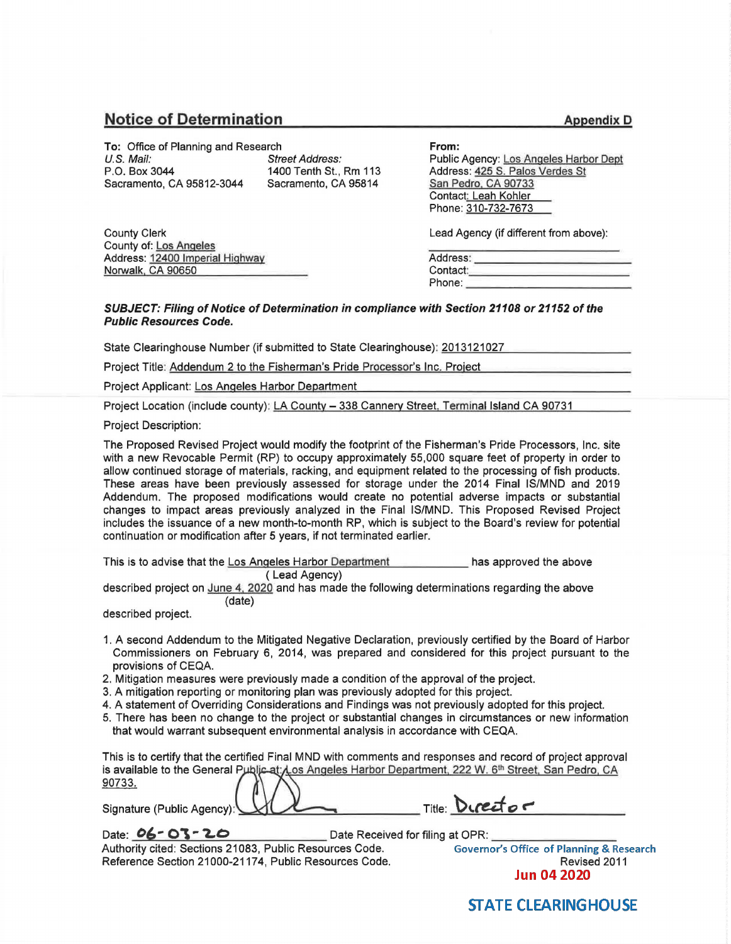## **Notice of Determination**

**To: Office of Planning and Research U.S. Mail:** Street U.S. Mail: Street Address:<br>
P.O. Box 3044 1400 Tenth St.. Sacramento, CA 95812-3044

1400 Tenth St., Rm 113<br>Sacramento, CA 95814

**From:**  Public Agency: Los Angeles Harbor Dept Address: 425 S. Palos Verdes St San Pedro. CA 90733 Contact: Leah Kohler

Lead Agency (if different from above):

Phone: 310-732-7673

| Address: |  |
|----------|--|
| Contact: |  |
| Phone:   |  |

County Clerk County of: Los Angeles Address: 12400 Imperial Highway Norwalk, CA 90650

## **SUBJECT: Filing of Notice of Determination in compliance with Section 21108 or 21152 of the Public Resources Code.**

State Clearinghouse Number (if submitted to State Clearinghouse): 2013121027

Project Title: Addendum 2 to the Fisherman's Pride Processor's Inc. Project

Project Applicant: Los Angeles Harbor Department

Project Location (include county): LA County - 338 Cannery Street, Terminal Island CA 90731

Project Description:

The Proposed Revised Project would modify the footprint of the Fisherman's Pride Processors, Inc. site with a new Revocable Permit (RP) to occupy approximately 55,000 square feet of property in order to allow continued storage of materials, racking, and equipment related to the processing of fish products. These areas have been previously assessed for storage under the 2014 Final IS/MND and 2019 Addendum. The proposed modifications would create no potential adverse impacts or substantial changes to impact areas previously analyzed in the Final IS/MND. This Proposed Revised Project includes the issuance of a new month-to-month RP, which is subject to the Board's review for potential continuation or modification after 5 years, if not terminated earlier.

| This is to advise that the Los Angeles Harbor Department | has approved the above |  |  |
|----------------------------------------------------------|------------------------|--|--|
| (Lead Agency)                                            |                        |  |  |

described project on June 4, 2020 and has made the following determinations regarding the above (date)

described project.

- 1. A second Addendum to the Mitigated Negative Declaration, previously certified by the Board of Harbor Commissioners on February 6, 2014, was prepared and considered for this project pursuant to the provisions of CEQA.
- 2. Mitigation measures were previously made a condition of the approval of the project.
- 3. A mitigation reporting or monitoring plan was previously adopted for this project.
- 4. A statement of Overriding Considerations and Findings was not previously adopted for this project.
- 5. There has been no change to the project or substantial changes in circumstances or new information that would warrant subsequent environmental analysis in accordance with CEQA.

This is to certify that the certified Final MND with comments and responses and record of project approval is available to the General Public at: Los Angeles Harbor Department, 222 W. 6<sup>th</sup> Street, San Pedro, CA 90733.

Signature (Public Agency):

Date:  $06 - 03 - 20$  Date Received for filing at OPR:

Title: Director

Authority cited: Sections 21083, Public Resources Code. Reference Section 21000-21174, Public Resources Code. The Contract Revised 2011

**Governor's Office of Planning & Research Jun 04 2020** 

**STATE CLEARINGHOUSE**